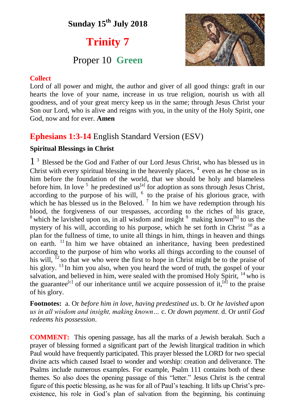# **Sunday 15 th July 2018**

# **Trinity 7**

## Proper 10 **Green**



### **Collect**

Lord of all power and might, the author and giver of all good things: graft in our hearts the love of your name, increase in us true religion, nourish us with all goodness, and of your great mercy keep us in the same; through Jesus Christ your Son our Lord, who is alive and reigns with you, in the unity of the Holy Spirit, one God, now and for ever. **Amen**

### **Ephesians 1:3-14** English Standard Version (ESV)

### **Spiritual Blessings in Christ**

1 <sup>3</sup> Blessed be the God and Father of our Lord Jesus Christ, who has blessed us in Christ with every spiritual blessing in the heavenly places,  $4$  even as he chose us in him before the foundation of the world, that we should be holy and blameless before him. In love  $<sup>5</sup>$  he predestined us<sup>[a]</sup> for adoption as sons through Jesus Christ,</sup> according to the purpose of his will,  $<sup>6</sup>$  to the praise of his glorious grace, with</sup> which he has blessed us in the Beloved.<sup>7</sup> In him we have redemption through his blood, the forgiveness of our trespasses, according to the riches of his grace,  $8$  which he lavished upon us, in all wisdom and insight  $9$  making known<sup>[b]</sup> to us the mystery of his will, according to his purpose, which he set forth in Christ<sup>10</sup> as a plan for the fullness of time, to unite all things in him, things in heaven and things on earth. <sup>11</sup> In him we have obtained an inheritance, having been predestined according to the purpose of him who works all things according to the counsel of his will,  $^{12}$  so that we who were the first to hope in Christ might be to the praise of his glory. <sup>13</sup> In him you also, when you heard the word of truth, the gospel of your salvation, and believed in him, were sealed with the promised Holy Spirit, <sup>14</sup> who is the guarantee<sup>[c]</sup> of our inheritance until we acquire possession of it,<sup>[d]</sup> to the praise of his glory.

**Footnotes:** a. Or *before him in love, having predestined us*. b. Or *he lavished upon us in all wisdom and insight, making known…* c. Or *down payment*. d. Or *until God redeems his possession*.

**COMMENT:** This opening passage, has all the marks of a Jewish berakah. Such a prayer of blessing formed a significant part of the Jewish liturgical tradition in which Paul would have frequently participated. This prayer blessed the LORD for two special divine acts which caused Israel to wonder and worship: creation and deliverance. The Psalms include numerous examples. For example, Psalm 111 contains both of these themes. So also does the opening passage of this "letter." Jesus Christ is the central figure of this poetic blessing, as he was for all of Paul's teaching. It lifts up Christ's preexistence, his role in God's plan of salvation from the beginning, his continuing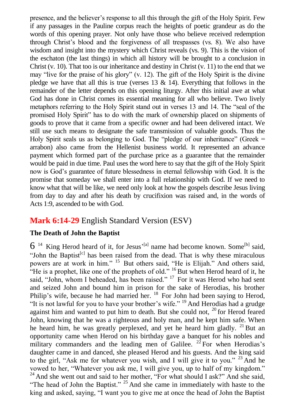presence, and the believer's response to all this through the gift of the Holy Spirit. Few if any passages in the Pauline corpus reach the heights of poetic grandeur as do the words of this opening prayer. Not only have those who believe received redemption through Christ's blood and the forgiveness of all trespasses (vs. 8). We also have wisdom and insight into the mystery which Christ reveals (vs. 9). This is the vision of the eschaton (the last things) in which all history will be brought to a conclusion in Christ (v. 10). That too is our inheritance and destiny in Christ (v. 11) to the end that we may "live for the praise of his glory" (v. 12). The gift of the Holy Spirit is the divine pledge we have that all this is true (verses  $13 \& 14$ ). Everything that follows in the remainder of the letter depends on this opening liturgy. After this initial awe at what God has done in Christ comes its essential meaning for all who believe. Two lively metaphors referring to the Holy Spirit stand out in verses 13 and 14. The "seal of the promised Holy Spirit" has to do with the mark of ownership placed on shipments of goods to prove that it came from a specific owner and had been delivered intact. We still use such means to designate the safe transmission of valuable goods. Thus the Holy Spirit seals us as belonging to God. The "pledge of our inheritance" (Greek = arrabon) also came from the Hellenist business world. It represented an advance payment which formed part of the purchase price as a guarantee that the remainder would be paid in due time. Paul uses the word here to say that the gift of the Holy Spirit now is God's guarantee of future blessedness in eternal fellowship with God. It is the promise that someday we shall enter into a full relationship with God. If we need to know what that will be like, we need only look at how the gospels describe Jesus living from day to day and after his death by crucifixion was raised and, in the words of Acts 1:9, ascended to be with God.

### **Mark 6:14-29** English Standard Version (ESV)

### **The Death of John the Baptist**

 $6^{14}$  King Herod heard of it, for Jesus'<sup>[a]</sup> name had become known. Some<sup>[b]</sup> said, "John the Baptist<sup>[c]</sup> has been raised from the dead. That is why these miraculous powers are at work in him." <sup>15</sup> But others said, "He is Elijah." And others said, "He is a prophet, like one of the prophets of old."  $^{16}$  But when Herod heard of it, he said, "John, whom I beheaded, has been raised." <sup>17</sup> For it was Herod who had sent and seized John and bound him in prison for the sake of Herodias, his brother Philip's wife, because he had married her. <sup>18</sup> For John had been saying to Herod, "It is not lawful for you to have your brother's wife." <sup>19</sup> And Herodias had a grudge against him and wanted to put him to death. But she could not,  $^{20}$  for Herod feared John, knowing that he was a righteous and holy man, and he kept him safe. When he heard him, he was greatly perplexed, and yet he heard him gladly. <sup>21</sup> But an opportunity came when Herod on his birthday gave a banquet for his nobles and military commanders and the leading men of Galilee.  $^{22}$  For when Herodias's daughter came in and danced, she pleased Herod and his guests. And the king said to the girl, "Ask me for whatever you wish, and I will give it to you."  $23$  And he vowed to her, "Whatever you ask me, I will give you, up to half of my kingdom." <sup>24</sup> And she went out and said to her mother, "For what should I ask?" And she said, "The head of John the Baptist."  $25$  And she came in immediately with haste to the king and asked, saying, "I want you to give me at once the head of John the Baptist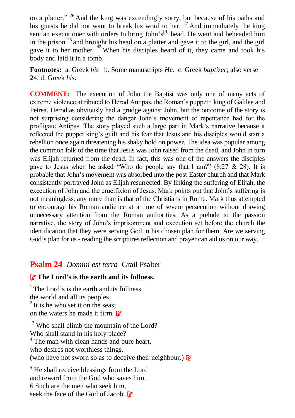on a platter." <sup>26</sup> And the king was exceedingly sorry, but because of his oaths and his guests he did not want to break his word to her.  $27$  And immediately the king sent an executioner with orders to bring John's<sup>[d]</sup> head. He went and beheaded him in the prison  $28$  and brought his head on a platter and gave it to the girl, and the girl gave it to her mother.  $^{29}$  When his disciples heard of it, they came and took his body and laid it in a tomb.

**Footnotes:** a. Greek *his* b. Some manuscripts *He*.c. Greek *baptizer*; also verse 24. d. Greek *his*.

**COMMENT:** The execution of John the Baptist was only one of many acts of extreme violence attributed to Herod Antipas, the Roman's puppet - king of Galilee and Petrea. Herodias obviously had a grudge against John, but the outcome of the story is not surprising considering the danger John's movement of repentance had for the profligate Antipas. The story played such a large part in Mark's narrative because it reflected the puppet king's guilt and his fear that Jesus and his disciples would start a rebellion once again threatening his shaky hold on power. The idea was popular among the common folk of the time that Jesus was John raised from the dead, and John in turn was Elijah returned from the dead. In fact, this was one of the answers the disciples gave to Jesus when he asked "Who do people say that I am?" (8:27  $\&$  28). It is probable that John's movement was absorbed into the post-Easter church and that Mark consistently portrayed John as Elijah resurrected. By linking the suffering of Elijah, the execution of John and the crucifixion of Jesus, Mark points out that John's suffering is not meaningless, any more than is that of the Christians in Rome. Mark thus attempted to encourage his Roman audience at a time of severe persecution without drawing unnecessary attention from the Roman authorities. As a prelude to the passion narrative, the story of John's imprisonment and execution set before the church the identification that they were serving God in his chosen plan for them. Are we serving God's plan for us - reading the scriptures reflection and prayer can aid us on our way.

### **Psalm 24** *Domini est terra* Grail Psalter

### R **The Lord's is the earth and its fullness.**

<sup>1</sup>The Lord's is the earth and its fullness, the world and all its peoples.  $2$  It is he who set it on the seas; on the waters he made it firm.  $\mathbf{R}^{\prime}$ 

<sup>3</sup> Who shall climb the mountain of the Lord? Who shall stand in his holy place? <sup>4</sup> The man with clean hands and pure heart, who desires not worthless things, (who have not sworn so as to deceive their neighbour.)  $\mathbb{R}^7$ 

 $<sup>5</sup>$  He shall receive blessings from the Lord</sup> and reward from the God who saves him . 6 Such are the men who seek him, seek the face of the God of Jacob.  $\mathbb{R}^7$